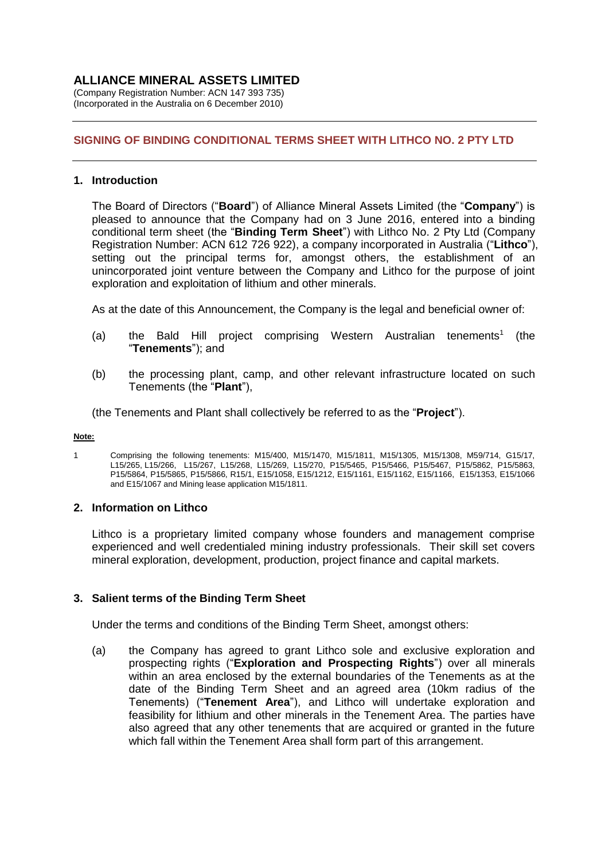(Company Registration Number: ACN 147 393 735) (Incorporated in the Australia on 6 December 2010)

## **SIGNING OF BINDING CONDITIONAL TERMS SHEET WITH LITHCO NO. 2 PTY LTD**

#### **1. Introduction**

The Board of Directors ("**Board**") of Alliance Mineral Assets Limited (the "**Company**") is pleased to announce that the Company had on 3 June 2016, entered into a binding conditional term sheet (the "**Binding Term Sheet**") with Lithco No. 2 Pty Ltd (Company Registration Number: ACN 612 726 922), a company incorporated in Australia ("**Lithco**"), setting out the principal terms for, amongst others, the establishment of an unincorporated joint venture between the Company and Lithco for the purpose of joint exploration and exploitation of lithium and other minerals.

As at the date of this Announcement, the Company is the legal and beneficial owner of:

- (a) the Bald Hill project comprising Western Australian tenements<sup>1</sup> (the "**Tenements**"); and
- (b) the processing plant, camp, and other relevant infrastructure located on such Tenements (the "**Plant**"),

(the Tenements and Plant shall collectively be referred to as the "**Project**").

#### **Note:**

1 Comprising the following tenements: M15/400, M15/1470, M15/1811, M15/1305, M15/1308, M59/714, G15/17, L15/265, L15/266, L15/267, L15/268, L15/269, L15/270, P15/5465, P15/5466, P15/5467, P15/5862, P15/5863, P15/5864, P15/5865, P15/5866, R15/1, E15/1058, E15/1212, E15/1161, E15/1162, E15/1166, E15/1353, E15/1066 and E15/1067 and Mining lease application M15/1811.

#### **2. Information on Lithco**

Lithco is a proprietary limited company whose founders and management comprise experienced and well credentialed mining industry professionals. Their skill set covers mineral exploration, development, production, project finance and capital markets.

### **3. Salient terms of the Binding Term Sheet**

Under the terms and conditions of the Binding Term Sheet, amongst others:

(a) the Company has agreed to grant Lithco sole and exclusive exploration and prospecting rights ("**Exploration and Prospecting Rights**") over all minerals within an area enclosed by the external boundaries of the Tenements as at the date of the Binding Term Sheet and an agreed area (10km radius of the Tenements) ("**Tenement Area**"), and Lithco will undertake exploration and feasibility for lithium and other minerals in the Tenement Area. The parties have also agreed that any other tenements that are acquired or granted in the future which fall within the Tenement Area shall form part of this arrangement.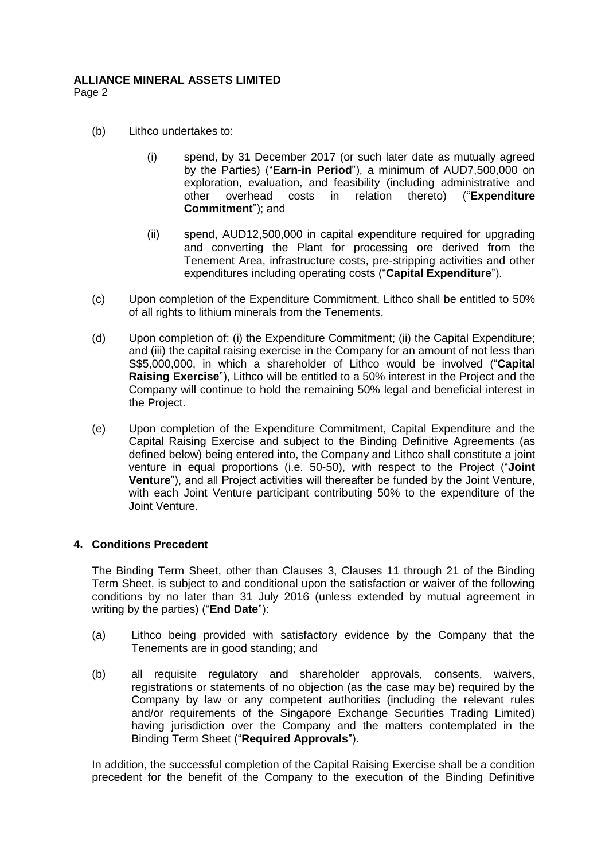Page 2

- (b) Lithco undertakes to:
	- (i) spend, by 31 December 2017 (or such later date as mutually agreed by the Parties) ("**Earn-in Period**"), a minimum of AUD7,500,000 on exploration, evaluation, and feasibility (including administrative and other overhead costs in relation thereto) ("**Expenditure Commitment**"); and
	- (ii) spend, AUD12,500,000 in capital expenditure required for upgrading and converting the Plant for processing ore derived from the Tenement Area, infrastructure costs, pre-stripping activities and other expenditures including operating costs ("**Capital Expenditure**").
- (c) Upon completion of the Expenditure Commitment, Lithco shall be entitled to 50% of all rights to lithium minerals from the Tenements.
- (d) Upon completion of: (i) the Expenditure Commitment; (ii) the Capital Expenditure; and (iii) the capital raising exercise in the Company for an amount of not less than S\$5,000,000, in which a shareholder of Lithco would be involved ("**Capital Raising Exercise**"), Lithco will be entitled to a 50% interest in the Project and the Company will continue to hold the remaining 50% legal and beneficial interest in the Project.
- (e) Upon completion of the Expenditure Commitment, Capital Expenditure and the Capital Raising Exercise and subject to the Binding Definitive Agreements (as defined below) being entered into, the Company and Lithco shall constitute a joint venture in equal proportions (i.e. 50-50), with respect to the Project ("**Joint Venture**"), and all Project activities will thereafter be funded by the Joint Venture, with each Joint Venture participant contributing 50% to the expenditure of the Joint Venture.

### **4. Conditions Precedent**

The Binding Term Sheet, other than Clauses 3, Clauses 11 through 21 of the Binding Term Sheet, is subject to and conditional upon the satisfaction or waiver of the following conditions by no later than 31 July 2016 (unless extended by mutual agreement in writing by the parties) ("**End Date**"):

- (a) Lithco being provided with satisfactory evidence by the Company that the Tenements are in good standing; and
- (b) all requisite regulatory and shareholder approvals, consents, waivers, registrations or statements of no objection (as the case may be) required by the Company by law or any competent authorities (including the relevant rules and/or requirements of the Singapore Exchange Securities Trading Limited) having jurisdiction over the Company and the matters contemplated in the Binding Term Sheet ("**Required Approvals**").

In addition, the successful completion of the Capital Raising Exercise shall be a condition precedent for the benefit of the Company to the execution of the Binding Definitive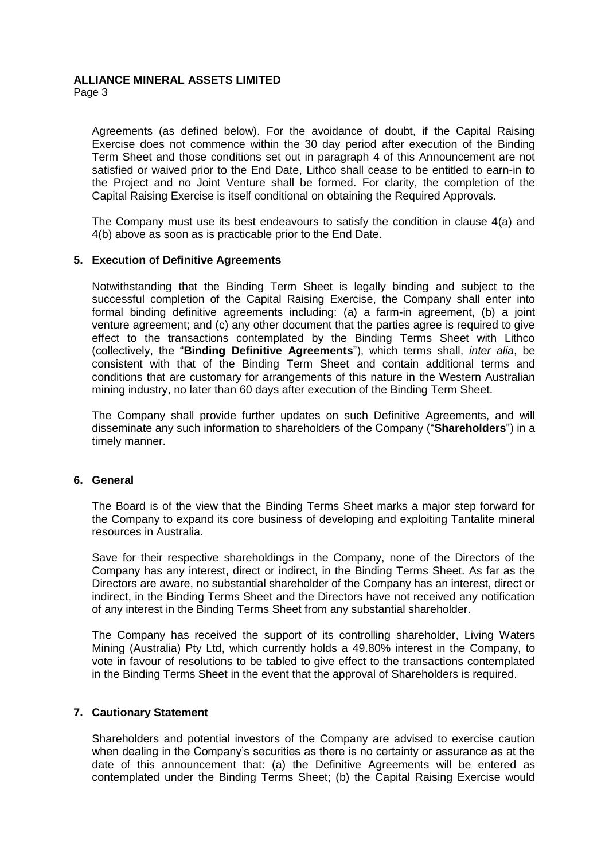Page 3

Agreements (as defined below). For the avoidance of doubt, if the Capital Raising Exercise does not commence within the 30 day period after execution of the Binding Term Sheet and those conditions set out in paragraph 4 of this Announcement are not satisfied or waived prior to the End Date, Lithco shall cease to be entitled to earn-in to the Project and no Joint Venture shall be formed. For clarity, the completion of the Capital Raising Exercise is itself conditional on obtaining the Required Approvals.

The Company must use its best endeavours to satisfy the condition in clause 4(a) and 4(b) above as soon as is practicable prior to the End Date.

#### **5. Execution of Definitive Agreements**

Notwithstanding that the Binding Term Sheet is legally binding and subject to the successful completion of the Capital Raising Exercise, the Company shall enter into formal binding definitive agreements including: (a) a farm-in agreement, (b) a joint venture agreement; and (c) any other document that the parties agree is required to give effect to the transactions contemplated by the Binding Terms Sheet with Lithco (collectively, the "**Binding Definitive Agreements**"), which terms shall, *inter alia*, be consistent with that of the Binding Term Sheet and contain additional terms and conditions that are customary for arrangements of this nature in the Western Australian mining industry, no later than 60 days after execution of the Binding Term Sheet.

The Company shall provide further updates on such Definitive Agreements, and will disseminate any such information to shareholders of the Company ("**Shareholders**") in a timely manner.

### **6. General**

The Board is of the view that the Binding Terms Sheet marks a major step forward for the Company to expand its core business of developing and exploiting Tantalite mineral resources in Australia.

Save for their respective shareholdings in the Company, none of the Directors of the Company has any interest, direct or indirect, in the Binding Terms Sheet. As far as the Directors are aware, no substantial shareholder of the Company has an interest, direct or indirect, in the Binding Terms Sheet and the Directors have not received any notification of any interest in the Binding Terms Sheet from any substantial shareholder.

The Company has received the support of its controlling shareholder, Living Waters Mining (Australia) Pty Ltd, which currently holds a 49.80% interest in the Company, to vote in favour of resolutions to be tabled to give effect to the transactions contemplated in the Binding Terms Sheet in the event that the approval of Shareholders is required.

### **7. Cautionary Statement**

Shareholders and potential investors of the Company are advised to exercise caution when dealing in the Company's securities as there is no certainty or assurance as at the date of this announcement that: (a) the Definitive Agreements will be entered as contemplated under the Binding Terms Sheet; (b) the Capital Raising Exercise would